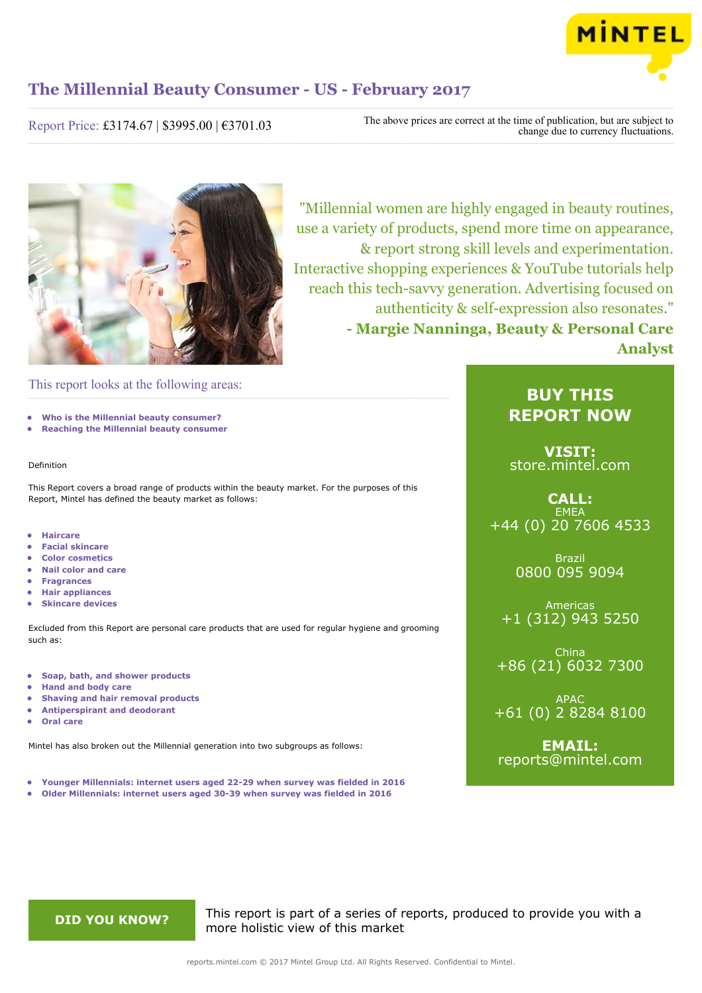

Report Price: £3174.67 | \$3995.00 | €3701.03

The above prices are correct at the time of publication, but are subject to change due to currency fluctuations.



"Millennial women are highly engaged in beauty routines, use a variety of products, spend more time on appearance, & report strong skill levels and experimentation. Interactive shopping experiences & YouTube tutorials help reach this tech-savvy generation. Advertising focused on authenticity & self-expression also resonates." **- Margie Nanninga, Beauty & Personal Care Analyst**

### This report looks at the following areas:

- **• Who is the Millennial beauty consumer?**
- **• Reaching the Millennial beauty consumer**

#### Definition

This Report covers a broad range of products within the beauty market. For the purposes of this Report, Mintel has defined the beauty market as follows:

- **• Haircare**
- **• Facial skincare**
- **• Color cosmetics**
- **• Nail color and care**
- **• Fragrances**
- **• Hair appliances**
- **• Skincare devices**

Excluded from this Report are personal care products that are used for regular hygiene and grooming such as:

- **• Soap, bath, and shower products**
- **• Hand and body care**
- **• Shaving and hair removal products**
- **• Antiperspirant and deodorant**
- **• Oral care**

Mintel has also broken out the Millennial generation into two subgroups as follows:

- **• Younger Millennials: internet users aged 22-29 when survey was fielded in 2016**
- **• Older Millennials: internet users aged 30-39 when survey was fielded in 2016**

### **BUY THIS REPORT NOW**

**VISIT:** [store.mintel.com](http://reports.mintel.com//display/store/793055/)

### **CALL: EMEA** +44 (0) 20 7606 4533

Brazil 0800 095 9094

Americas +1 (312) 943 5250

China +86 (21) 6032 7300

APAC +61 (0) 2 8284 8100

**EMAIL:** [reports@mintel.com](mailto:reports@mintel.com)

**DID YOU KNOW?** This report is part of a series of reports, produced to provide you with a more holistic view of this market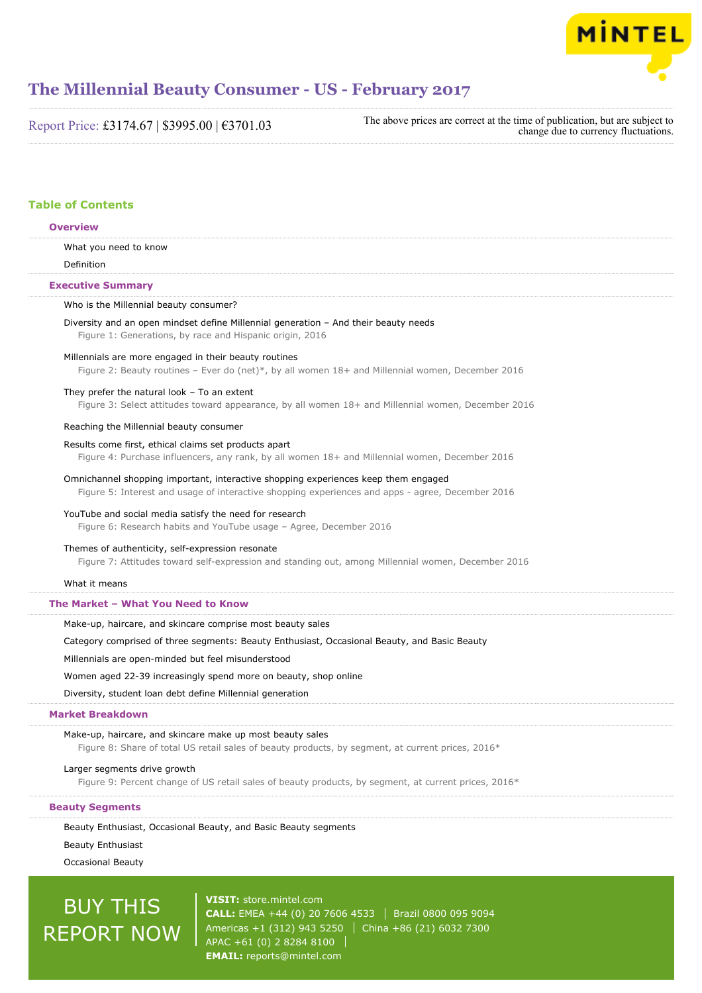

Report Price: £3174.67 | \$3995.00 | €3701.03

The above prices are correct at the time of publication, but are subject to change due to currency fluctuations.

#### **Table of Contents**

### What you need to know Definition Who is the Millennial beauty consumer? Diversity and an open mindset define Millennial generation – And their beauty needs Figure 1: Generations, by race and Hispanic origin, 2016 Millennials are more engaged in their beauty routines Figure 2: Beauty routines – Ever do (net)\*, by all women 18+ and Millennial women, December 2016 They prefer the natural look – To an extent Figure 3: Select attitudes toward appearance, by all women 18+ and Millennial women, December 2016 Reaching the Millennial beauty consumer Results come first, ethical claims set products apart Figure 4: Purchase influencers, any rank, by all women 18+ and Millennial women, December 2016 Omnichannel shopping important, interactive shopping experiences keep them engaged Figure 5: Interest and usage of interactive shopping experiences and apps - agree, December 2016 YouTube and social media satisfy the need for research Figure 6: Research habits and YouTube usage – Agree, December 2016 Themes of authenticity, self-expression resonate Figure 7: Attitudes toward self-expression and standing out, among Millennial women, December 2016 What it means Make-up, haircare, and skincare comprise most beauty sales Category comprised of three segments: Beauty Enthusiast, Occasional Beauty, and Basic Beauty Millennials are open-minded but feel misunderstood Women aged 22-39 increasingly spend more on beauty, shop online Diversity, student loan debt define Millennial generation Make-up, haircare, and skincare make up most beauty sales Figure 8: Share of total US retail sales of beauty products, by segment, at current prices, 2016\* **Overview Executive Summary The Market – What You Need to Know Market Breakdown**

Larger segments drive growth

Figure 9: Percent change of US retail sales of beauty products, by segment, at current prices, 2016\*

#### **Beauty Segments**

Beauty Enthusiast, Occasional Beauty, and Basic Beauty segments

Beauty Enthusiast

Occasional Beauty

# BUY THIS REPORT NOW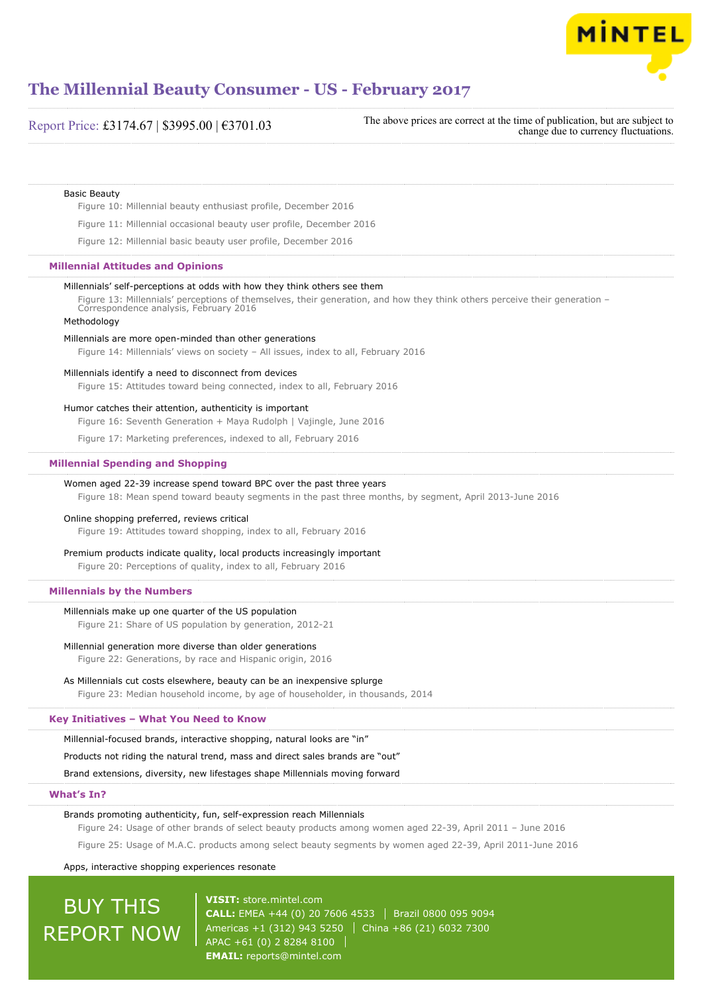

### Basic Beauty Figure 10: Millennial beauty enthusiast profile, December 2016 Figure 11: Millennial occasional beauty user profile, December 2016 Figure 12: Millennial basic beauty user profile, December 2016 Millennials' self-perceptions at odds with how they think others see them Figure 13: Millennials' perceptions of themselves, their generation, and how they think others perceive their generation – Correspondence analysis, February 2016 Methodology Millennials are more open-minded than other generations Figure 14: Millennials' views on society – All issues, index to all, February 2016 Millennials identify a need to disconnect from devices Figure 15: Attitudes toward being connected, index to all, February 2016 Humor catches their attention, authenticity is important Figure 16: Seventh Generation + Maya Rudolph | Vajingle, June 2016 Figure 17: Marketing preferences, indexed to all, February 2016 Women aged 22-39 increase spend toward BPC over the past three years Figure 18: Mean spend toward beauty segments in the past three months, by segment, April 2013-June 2016 Online shopping preferred, reviews critical Figure 19: Attitudes toward shopping, index to all, February 2016 Premium products indicate quality, local products increasingly important Figure 20: Perceptions of quality, index to all, February 2016 Millennials make up one quarter of the US population Figure 21: Share of US population by generation, 2012-21 Millennial generation more diverse than older generations Figure 22: Generations, by race and Hispanic origin, 2016 As Millennials cut costs elsewhere, beauty can be an inexpensive splurge Figure 23: Median household income, by age of householder, in thousands, 2014 Millennial-focused brands, interactive shopping, natural looks are "in" Products not riding the natural trend, mass and direct sales brands are "out" Brand extensions, diversity, new lifestages shape Millennials moving forward **Millennial Attitudes and Opinions Millennial Spending and Shopping Millennials by the Numbers Key Initiatives – What You Need to Know What's In?** Report Price: £3174.67 | \$3995.00 | €3701.03 The above prices are correct at the time of publication, but are subject to change due to currency fluctuations.

Brands promoting authenticity, fun, self-expression reach Millennials

Figure 24: Usage of other brands of select beauty products among women aged 22-39, April 2011 – June 2016

Figure 25: Usage of M.A.C. products among select beauty segments by women aged 22-39, April 2011-June 2016

Apps, interactive shopping experiences resonate

## BUY THIS REPORT NOW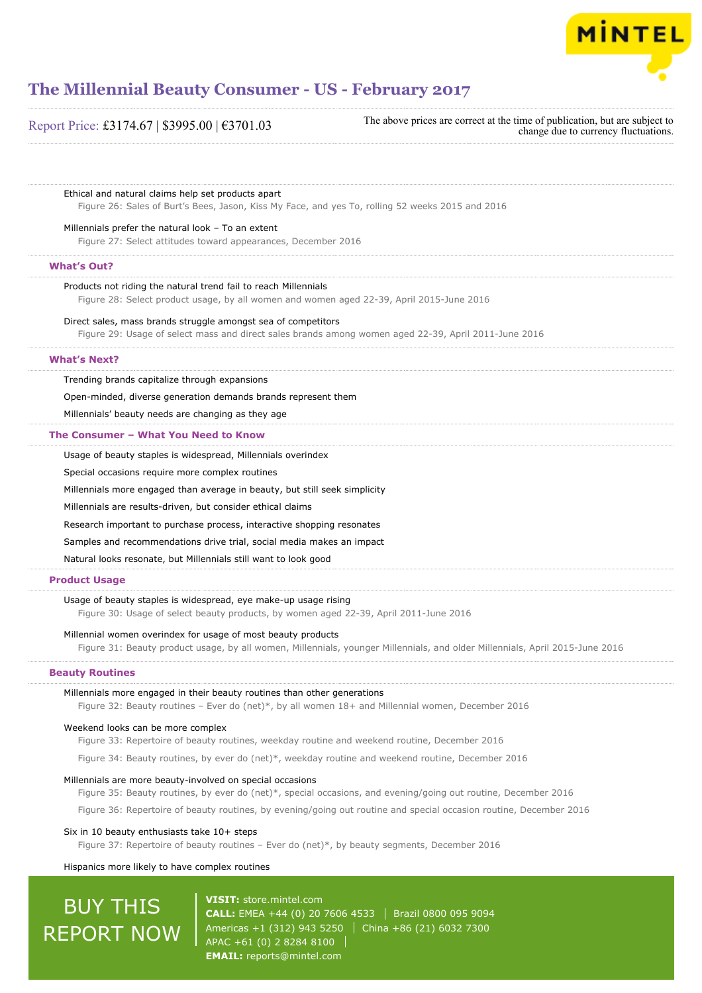

Report Price: £3174.67 | \$3995.00 | €3701.03

The above prices are correct at the time of publication, but are subject to change due to currency fluctuations.

#### Ethical and natural claims help set products apart

Figure 26: Sales of Burt's Bees, Jason, Kiss My Face, and yes To, rolling 52 weeks 2015 and 2016

#### Millennials prefer the natural look – To an extent

Figure 27: Select attitudes toward appearances, December 2016

#### **What's Out?**

#### Products not riding the natural trend fail to reach Millennials

Figure 28: Select product usage, by all women and women aged 22-39, April 2015-June 2016

#### Direct sales, mass brands struggle amongst sea of competitors

Figure 29: Usage of select mass and direct sales brands among women aged 22-39, April 2011-June 2016

#### **What's Next?**

Trending brands capitalize through expansions

Open-minded, diverse generation demands brands represent them

Millennials' beauty needs are changing as they age

#### **The Consumer – What You Need to Know**

Usage of beauty staples is widespread, Millennials overindex

Special occasions require more complex routines

Millennials more engaged than average in beauty, but still seek simplicity

Millennials are results-driven, but consider ethical claims

Research important to purchase process, interactive shopping resonates

Samples and recommendations drive trial, social media makes an impact

Natural looks resonate, but Millennials still want to look good

#### **Product Usage**

#### Usage of beauty staples is widespread, eye make-up usage rising

Figure 30: Usage of select beauty products, by women aged 22-39, April 2011-June 2016

#### Millennial women overindex for usage of most beauty products

Figure 31: Beauty product usage, by all women, Millennials, younger Millennials, and older Millennials, April 2015-June 2016

#### **Beauty Routines**

#### Millennials more engaged in their beauty routines than other generations

Figure 32: Beauty routines - Ever do (net)\*, by all women 18+ and Millennial women, December 2016

#### Weekend looks can be more complex

Figure 33: Repertoire of beauty routines, weekday routine and weekend routine, December 2016

Figure 34: Beauty routines, by ever do (net)\*, weekday routine and weekend routine, December 2016

#### Millennials are more beauty-involved on special occasions

Figure 35: Beauty routines, by ever do (net)\*, special occasions, and evening/going out routine, December 2016

Figure 36: Repertoire of beauty routines, by evening/going out routine and special occasion routine, December 2016

#### Six in 10 beauty enthusiasts take 10+ steps

Figure 37: Repertoire of beauty routines – Ever do (net)\*, by beauty segments, December 2016

Hispanics more likely to have complex routines

## BUY THIS REPORT NOW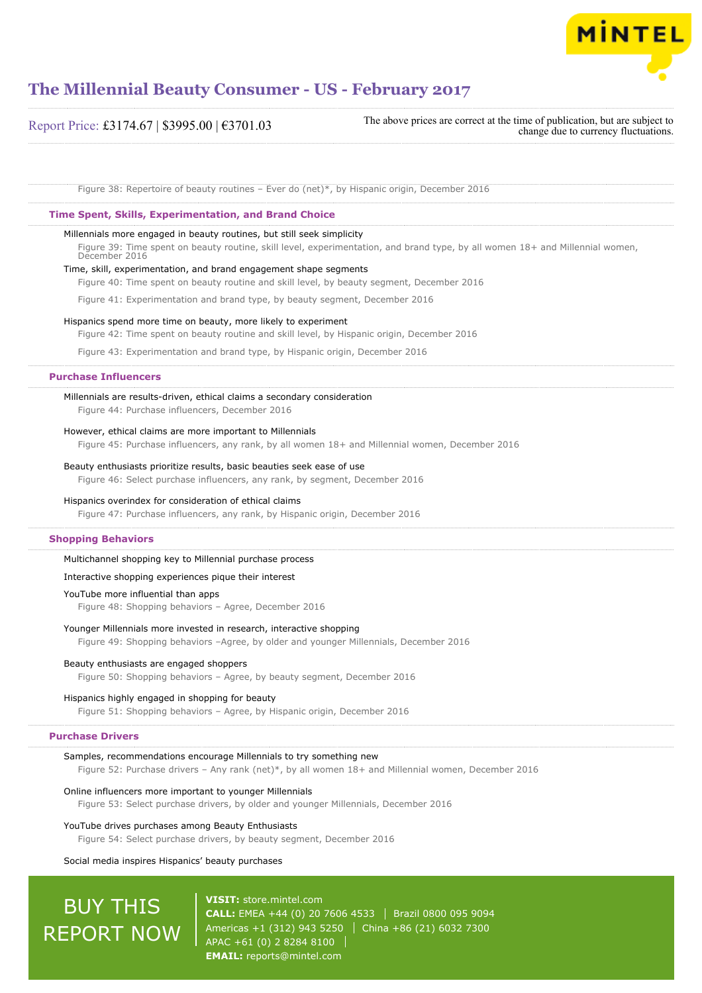

Report Price: £3174.67 | \$3995.00 | €3701.03

The above prices are correct at the time of publication, but are subject to change due to currency fluctuations.

Figure 38: Repertoire of beauty routines – Ever do (net)\*, by Hispanic origin, December 2016

#### **Time Spent, Skills, Experimentation, and Brand Choice**

#### Millennials more engaged in beauty routines, but still seek simplicity

Figure 39: Time spent on beauty routine, skill level, experimentation, and brand type, by all women 18+ and Millennial women, December 2016

#### Time, skill, experimentation, and brand engagement shape segments

Figure 40: Time spent on beauty routine and skill level, by beauty segment, December 2016

Figure 41: Experimentation and brand type, by beauty segment, December 2016

#### Hispanics spend more time on beauty, more likely to experiment

Figure 42: Time spent on beauty routine and skill level, by Hispanic origin, December 2016

Figure 43: Experimentation and brand type, by Hispanic origin, December 2016

#### **Purchase Influencers**

#### Millennials are results-driven, ethical claims a secondary consideration

Figure 44: Purchase influencers, December 2016

#### However, ethical claims are more important to Millennials

Figure 45: Purchase influencers, any rank, by all women 18+ and Millennial women, December 2016

#### Beauty enthusiasts prioritize results, basic beauties seek ease of use

Figure 46: Select purchase influencers, any rank, by segment, December 2016

#### Hispanics overindex for consideration of ethical claims

Figure 47: Purchase influencers, any rank, by Hispanic origin, December 2016

#### **Shopping Behaviors**

#### Multichannel shopping key to Millennial purchase process

#### Interactive shopping experiences pique their interest

#### YouTube more influential than apps

Figure 48: Shopping behaviors – Agree, December 2016

#### Younger Millennials more invested in research, interactive shopping

Figure 49: Shopping behaviors –Agree, by older and younger Millennials, December 2016

#### Beauty enthusiasts are engaged shoppers

Figure 50: Shopping behaviors – Agree, by beauty segment, December 2016

#### Hispanics highly engaged in shopping for beauty

Figure 51: Shopping behaviors – Agree, by Hispanic origin, December 2016

#### **Purchase Drivers**

#### Samples, recommendations encourage Millennials to try something new Figure 52: Purchase drivers – Any rank (net)\*, by all women 18+ and Millennial women, December 2016

#### Online influencers more important to younger Millennials

Figure 53: Select purchase drivers, by older and younger Millennials, December 2016

#### YouTube drives purchases among Beauty Enthusiasts Figure 54: Select purchase drivers, by beauty segment, December 2016

#### Social media inspires Hispanics' beauty purchases

## BUY THIS REPORT NOW